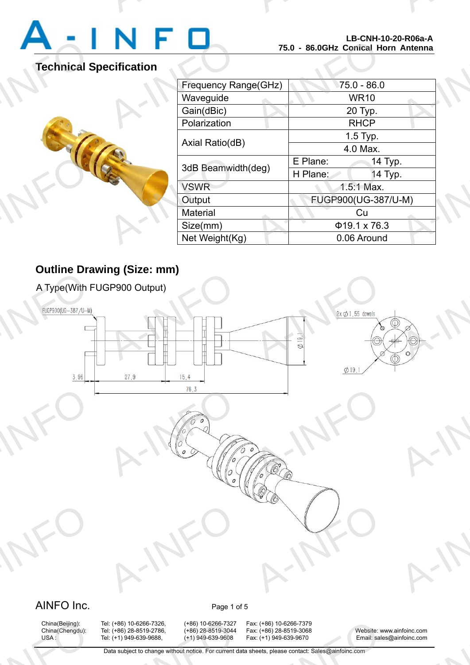

A-INFO

### **Technical Specification**



|                      |          | LD-UNN-IV-ZV-RU0d-A<br>75.0 - 86.0GHz Conical Horn Antenna |  |
|----------------------|----------|------------------------------------------------------------|--|
| <b>cification</b>    |          |                                                            |  |
| Frequency Range(GHz) |          | 75.0 - 86.0                                                |  |
| Waveguide            |          | <b>WR10</b>                                                |  |
| Gain(dBic)           |          | 20 Typ.                                                    |  |
| Polarization         |          | <b>RHCP</b>                                                |  |
| Axial Ratio(dB)      |          | 1.5 Typ.                                                   |  |
|                      |          | 4.0 Max.                                                   |  |
| 3dB Beamwidth(deg)   | E Plane: | 14 Typ.                                                    |  |
|                      | H Plane: | 14 Typ.                                                    |  |
| <b>VSWR</b>          |          | $1.5:1$ Max.                                               |  |
| Output               |          | FUGP900(UG-387/U-M)                                        |  |
| <b>Material</b>      |          | Cu                                                         |  |
| Size(mm)             |          | $\Phi$ 19.1 x 76.3                                         |  |
| Net Weight(Kg)       |          | 0.06 Around                                                |  |

A-INFORMATION CONTINUES.

### **Outline Drawing (Size: mm)**



## China(Beijing):<br>China(Chengdu):<br>USA :

1: (+86) 10-6266-7326, (+86) 10-6266-7327<br>1: (+86) 28-8519-2786, (+86) 28-8519-3044<br>1: (+1) 949-639-9688, (+1) 949-639-9608<br>Data subject to change without notice. For current d

China(Beijing): Tel: (+86) 10-6266-7326, (+86) 10-6266-7327 Fax: (+86) 10-6266-7379<br>China(Chengdu): Tel: (+86) 28-8519-2786, (+86) 28-8519-3044 Fax: (+86) 28-8519-3068 x: (+86) 10-6266-7379<br>x: (+86) 28-8519-3068<br>x: (+1) 949-639-9670 Email: sale<br>heets, please contact: Sales@ainfoinc.com

China(Chengdu): Tel: (+86) 28-8519-2786, (+86) 28-8519-3044 Fax: (+86) 28-8519-3068 Website: www.ainfoinc.com USA : Tel: (+1) 949-639-9688, (+1) 949-639-9608 Fax: (+1) 949-639-9670 Email: sales@ainfoinc.com infoinc.com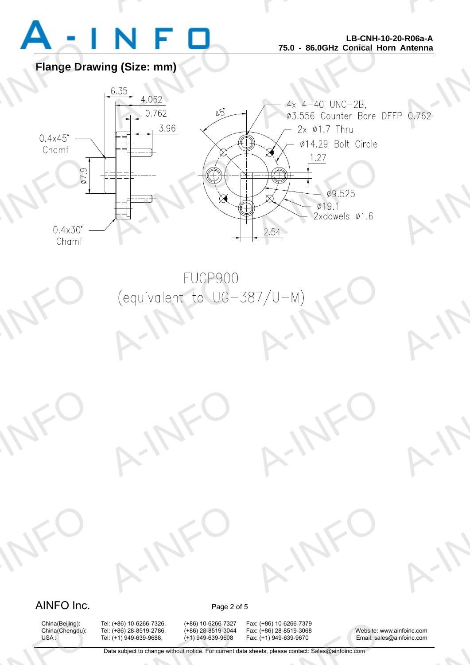

A-INFO

A-INFO

A-INFO

A-INFORMATION CONTINUES.

**Flange Drawing (Size: mm)**



### AINFO Inc. Page 2 of 5

A-INFO

A-INFO

China(Beijing):<br>China(Chengdu):<br>USA :

1: (+86) 10-6266-7326, (+86) 10-6266-7327<br>1: (+86) 28-8519-2786, (+86) 28-8519-3044<br>1: (+1) 949-639-9688, (+1) 949-639-9608<br>Data subject to change without notice. For current d

A-IFO

A-IFO

China(Beijing): Tel: (+86) 10-6266-7326, (+86) 10-6266-7327 Fax: (+86) 10-6266-7379 x: (+86) 10-6266-7379<br>x: (+86) 28-8519-3068<br>x: (+1) 949-639-9670 Email: sale<br>heets, please contact: Sales@ainfoinc.com

A-IFO

A-IFO

China(Chengdu): Tel: (+86) 28-8519-2786, (+86) 28-8519-3044 Fax: (+86) 28-8519-3068 Website: www.ainfoinc.com USA : Tel: (+1) 949-639-9688, (+1) 949-639-9608 Fax: (+1) 949-639-9670 Email: sales@ainfoinc.com infoinc.com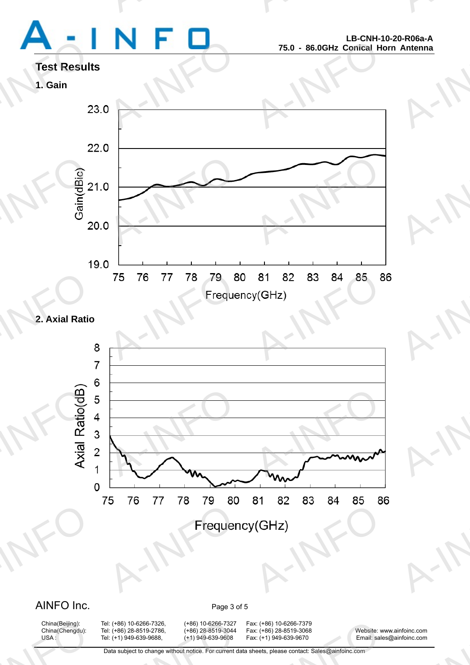# Test Result<br>1. Gain<br>2

A-INFORMATION CONTINUES.

A-INFO

A-INFO

A-INFO

A-INFO

A-INFO

A-INFORMATION CONTINUES.

## **Test Results**





### **2. Axial Ratio**



### AINFO Inc. Page 3 of 5

China(Beijing):<br>China(Chengdu):<br>USA :

China(Beijing): Tel: (+86) 10-6266-7326, (+86) 10-6266-7327 Fax: (+86) 10-6266-7379

China(Chengdu): Tel: (+86) 28-8519-2786, (+86) 28-8519-3044 Fax: (+86) 28-8519-3068 Website: www.ainfoinc.com USA : Tel: (+1) 949-639-9688, (+1) 949-639-9608 Fax: (+1) 949-639-9670 Email: sales@ainfoinc.com infoinc.com

Data subject to change without notice. For current data sheets, please contact: Sales@ainfoinc.com 1: (+86) 10-6266-7326, (+86) 10-6266-7327<br>1: (+86) 28-8519-2786, (+86) 28-8519-3044<br>1: (+1) 949-639-9688, (+1) 949-639-9608<br>Data subject to change without notice. For current d x: (+86) 10-6266-7379<br>x: (+86) 28-8519-3068<br>x: (+1) 949-639-9670 Email: sale<br>heets, please contact: Sales@ainfoinc.com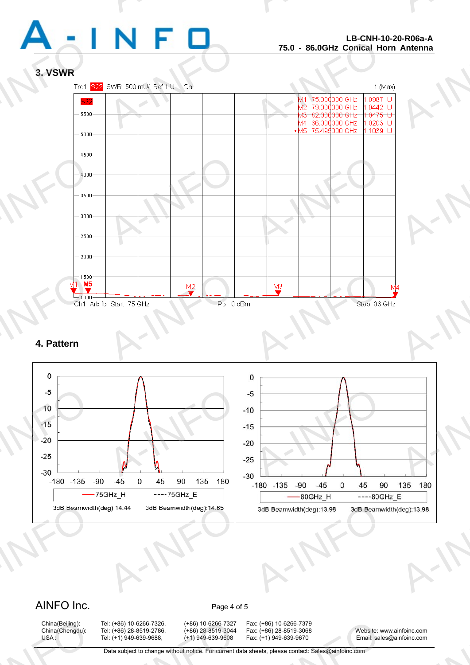

A-INFO

A-INFORMATION CONTINUES.

### **3. VSWR**



### **4. Pattern**



### AINFO Inc. Page 4 of 5

China(Beijing):<br>China(Chengdu):<br>USA :

China(Beijing): Tel: (+86) 10-6266-7326, (+86) 10-6266-7327 Fax: (+86) 10-6266-7379 1: (+86) 10-6266-7326, (+86) 10-6266-7327<br>1: (+86) 28-8519-2786, (+86) 28-8519-3044<br>1: (+1) 949-639-9688, (+1) 949-639-9608<br>Data subject to change without notice. For current d

x: (+86) 10-6266-7379<br>x: (+86) 28-8519-3068<br>x: (+1) 949-639-9670 Email: sale<br>heets, please contact: Sales@ainfoinc.com

China(Chengdu): Tel: (+86) 28-8519-2786, (+86) 28-8519-3044 Fax: (+86) 28-8519-3068 Website: www.ainfoinc.com USA : Tel: (+1) 949-639-9688, (+1) 949-639-9608 Fax: (+1) 949-639-9670 Email: sales@ainfoinc.com infoinc.com